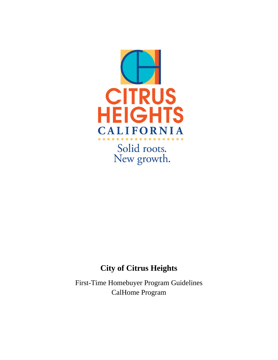

Solid roots. New growth.

# **City of Citrus Heights**

First-Time Homebuyer Program Guidelines CalHome Program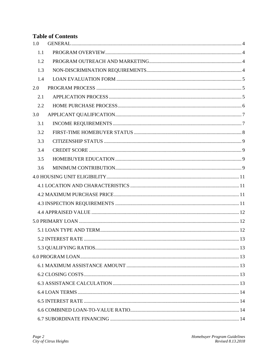## **Table of Contents**

| 1.0 |  |  |
|-----|--|--|
| 1.1 |  |  |
| 1.2 |  |  |
| 1.3 |  |  |
| 1.4 |  |  |
| 2.0 |  |  |
| 2.1 |  |  |
| 2.2 |  |  |
| 3.0 |  |  |
| 3.1 |  |  |
| 3.2 |  |  |
| 3.3 |  |  |
| 3.4 |  |  |
| 3.5 |  |  |
| 3.6 |  |  |
|     |  |  |
|     |  |  |
|     |  |  |
|     |  |  |
|     |  |  |
|     |  |  |
|     |  |  |
|     |  |  |
|     |  |  |
|     |  |  |
|     |  |  |
|     |  |  |
|     |  |  |
|     |  |  |
|     |  |  |
|     |  |  |
|     |  |  |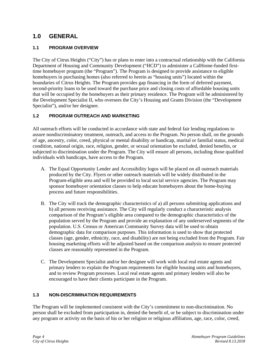## <span id="page-3-0"></span>**1.0 GENERAL**

## <span id="page-3-1"></span>**1.1 PROGRAM OVERVIEW**

The City of Citrus Heights ("City") has or plans to enter into a contractual relationship with the California Department of Housing and Community Development ("HCD") to administer a CalHome-funded firsttime homebuyer program (the "Program"). The Program is designed to provide assistance to eligible homebuyers in purchasing homes (also referred to herein as "housing units") located within the boundaries of Citrus Heights. The Program provides gap financing in the form of deferred payment, second-priority loans to be used toward the purchase price and closing costs of affordable housing units that will be occupied by the homebuyers as their primary residence. The Program will be administered by the Development Specialist II, who oversees the City's Housing and Grants Division (the "Development Specialist"), and/or her designee.

## <span id="page-3-2"></span>**1.2 PROGRAM OUTREACH AND MARKETING**

All outreach efforts will be conducted in accordance with state and federal fair lending regulations to assure nondiscriminatory treatment, outreach, and access to the Program. No person shall, on the grounds of age, ancestry, color, creed, physical or mental disability or handicap, marital or familial status, medical condition, national origin, race, religion, gender, or sexual orientation be excluded, denied benefits, or subjected to discrimination under the Program. The City will ensure all persons, including those qualified individuals with handicaps, have access to the Program.

- A. The Equal Opportunity Lender and Accessibility logos will be placed on all outreach materials produced by the City. Flyers or other outreach materials will be widely distributed in the Program-eligible area and will be provided to local social service agencies. The Program may sponsor homebuyer orientation classes to help educate homebuyers about the home-buying process and future responsibilities.
- B. The City will track the demographic characteristics of a) all persons submitting applications and b) all persons receiving assistance. The City will regularly conduct a characteristic analysis comparison of the Program's eligible area compared to the demographic characteristics of the population served by the Program and provide an explanation of any underserved segments of the population. U.S. Census or American Community Survey data will be used to obtain demographic data for comparison purposes. This information is used to show that protected classes (age, gender, ethnicity, race, and disability) are not being excluded from the Program. Fair housing marketing efforts will be adjusted based on the comparison analysis to ensure protected classes are reasonably represented in the Program.
- C. The Development Specialist and/or her designee will work with local real estate agents and primary lenders to explain the Program requirements for eligible housing units and homebuyers, and to review Program processes. Local real estate agents and primary lenders will also be encouraged to have their clients participate in the Program.

## <span id="page-3-3"></span>**1.3 NON-DISCRIMINATION REQUIREMENTS**

The Program will be implemented consistent with the City's commitment to non-discrimination. No person shall be excluded from participation in, denied the benefit of, or be subject to discrimination under any program or activity on the basis of his or her religion or religious affiliation, age, race, color, creed,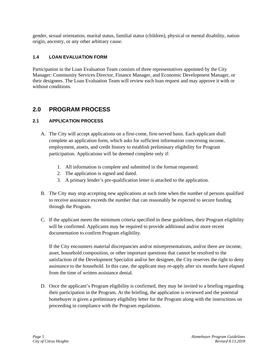gender, sexual orientation, marital status, familial status (children), physical or mental disability, nation origin, ancestry, or any other arbitrary cause.

## <span id="page-4-0"></span>**1.4 LOAN EVALUATION FORM**

Participation in the Loan Evaluation Team consists of three representatives appointed by the City Manager: Community Services Director, Finance Manager, and Economic Development Manager, or their designees. The Loan Evaluation Team will review each loan request and may approve it with or without conditions.

## <span id="page-4-1"></span>**2.0 PROGRAM PROCESS**

## <span id="page-4-2"></span>**2.1 APPLICATION PROCESS**

- A. The City will accept applications on a first-come, first-served basis. Each applicant shall complete an application form, which asks for sufficient information concerning income, employment, assets, and credit history to establish preliminary eligibility for Program participation. Applications will be deemed complete only if:
	- 1. All information is complete and submitted in the format requested.
	- 2. The application is signed and dated.
	- 3. A primary lender's pre-qualification letter is attached to the application.
- B. The City may stop accepting new applications at such time when the number of persons qualified to receive assistance exceeds the number that can reasonably be expected to secure funding through the Program.
- C. If the applicant meets the minimum criteria specified in these guidelines, their Program eligibility will be confirmed. Applicants may be required to provide additional and/or more recent documentation to confirm Program eligibility.

If the City encounters material discrepancies and/or misrepresentations, and/or there are income, asset, household composition, or other important questions that cannot be resolved to the satisfaction of the Development Specialist and/or her designee, the City reserves the right to deny assistance to the household. In this case, the applicant may re-apply after six months have elapsed from the time of written assistance denial.

D. Once the applicant's Program eligibility is confirmed, they may be invited to a briefing regarding their participation in the Program. At the briefing, the application is reviewed and the potential homebuyer is given a preliminary eligibility letter for the Program along with the instructions on proceeding in compliance with the Program regulations.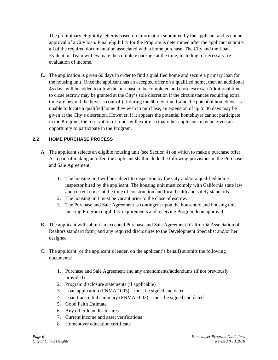The preliminary eligibility letter is based on information submitted by the applicant and is not an approval of a City loan. Final eligibility for the Program is determined after the applicant submits all of the required documentation associated with a home purchase. The City and the Loan Evaluation Team will evaluate the complete package at the time, including, if necessary, reevaluation of income.

E. The application is given 60 days in order to find a qualified home and secure a primary loan for the housing unit. Once the applicant has an accepted offer on a qualified home, then an additional 45 days will be added to allow the purchase to be completed and close escrow. (Additional time to close escrow may be granted at the City's sole discretion if the circumstances requiring extra time are beyond the buyer's control.) If during the 60-day time frame the potential homebuyer is unable to locate a qualified home they wish to purchase, an extension of up to 30 days may be given at the City's discretion. However, if it appears the potential homebuyer cannot participate in the Program, the reservation of funds will expire so that other applicants may be given an opportunity to participate in the Program.

## <span id="page-5-0"></span>**2.2 HOME PURCHASE PROCESS**

- A. The applicant selects an eligible housing unit (see Section 4) on which to make a purchase offer. As a part of making an offer, the applicant shall include the following provisions in the Purchase and Sale Agreement:
	- 1. The housing unit will be subject to inspection by the City and/or a qualified home inspector hired by the applicant. The housing unit must comply with California state law and current codes at the time of construction and local health and safety standards.
	- 2. The housing unit must be vacant prior to the close of escrow.
	- 3. The Purchase and Sale Agreement is contingent upon the household and housing unit meeting Program eligibility requirements and receiving Program loan approval.
- B. The applicant will submit an executed Purchase and Sale Agreement (California Association of Realtors standard form) and any required disclosures to the Development Specialist and/or her designee.
- C. The applicant (or the applicant's lender, on the applicant's behalf) submits the following documents:
	- 1. Purchase and Sale Agreement and any amendments/addendums (if not previously provided)
	- 2. Program disclosure statements (if applicable)
	- 3. Loan application (FNMA 1003) must be signed and dated
	- 4. Loan transmittal summary (FNMA 1003) must be signed and dated
	- 5. Good Faith Estimate
	- 6. Any other loan disclosures
	- 7. Current income and asset verifications
	- 8. Homebuyer education certificate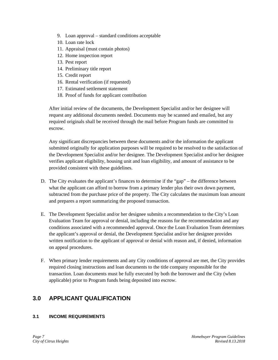- 9. Loan approval standard conditions acceptable
- 10. Loan rate lock
- 11. Appraisal (must contain photos)
- 12. Home inspection report
- 13. Pest report
- 14. Preliminary title report
- 15. Credit report
- 16. Rental verification (if requested)
- 17. Estimated settlement statement
- 18. Proof of funds for applicant contribution

After initial review of the documents, the Development Specialist and/or her designee will request any additional documents needed. Documents may be scanned and emailed, but any required originals shall be received through the mail before Program funds are committed to escrow.

Any significant discrepancies between these documents and/or the information the applicant submitted originally for application purposes will be required to be resolved to the satisfaction of the Development Specialist and/or her designee. The Development Specialist and/or her designee verifies applicant eligibility, housing unit and loan eligibility, and amount of assistance to be provided consistent with these guidelines.

- D. The City evaluates the applicant's finances to determine if the "gap" the difference between what the applicant can afford to borrow from a primary lender plus their own down payment, subtracted from the purchase price of the property. The City calculates the maximum loan amount and prepares a report summarizing the proposed transaction.
- E. The Development Specialist and/or her designee submits a recommendation to the City's Loan Evaluation Team for approval or denial, including the reasons for the recommendation and any conditions associated with a recommended approval. Once the Loan Evaluation Team determines the applicant's approval or denial, the Development Specialist and/or her designee provides written notification to the applicant of approval or denial with reason and, if denied, information on appeal procedures.
- F. When primary lender requirements and any City conditions of approval are met, the City provides required closing instructions and loan documents to the title company responsible for the transaction. Loan documents must be fully executed by both the borrower and the City (when applicable) prior to Program funds being deposited into escrow.

## <span id="page-6-0"></span>**3.0 APPLICANT QUALIFICATION**

## <span id="page-6-1"></span>**3.1 INCOME REQUIREMENTS**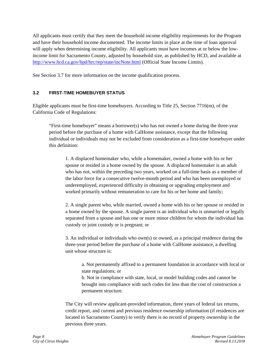All applicants must certify that they meet the household income eligibility requirements for the Program and have their household income documented. The income limits in place at the time of loan approval will apply when determining income eligibility. All applicants must have incomes at or below the lowincome limit for Sacramento County, adjusted by household size, as published by HCD, and available at <http://www.hcd.ca.gov/hpd/hrc/rep/state/incNote.html> (Official State Income Limits).

See Section 3.7 for more information on the income qualification process.

#### <span id="page-7-0"></span>**3.2 FIRST-TIME HOMEBUYER STATUS**

Eligible applicants must be first-time homebuyers. According to Title 25, Section 7716(m), of the California Code of Regulations:

"First-time homebuyer" means a borrower(s) who has not owned a home during the three-year period before the purchase of a home with CalHome assistance, except that the following individual or individuals may not be excluded from consideration as a first-time homebuyer under this definition:

1. A displaced homemaker who, while a homemaker, owned a home with his or her spouse or resided in a home owned by the spouse. A displaced homemaker is an adult who has not, within the preceding two years, worked on a full-time basis as a member of the labor force for a consecutive twelve-month period and who has been unemployed or underemployed, experienced difficulty in obtaining or upgrading employment and worked primarily without remuneration to care for his or her home and family;

2. A single parent who, while married, owned a home with his or her spouse or resided in a home owned by the spouse. A single parent is an individual who is unmarried or legally separated from a spouse and has one or more minor children for whom the individual has custody or joint custody or is pregnant; or

3. An individual or individuals who own(s) or owned, as a principal residence during the three-year period before the purchase of a home with CalHome assistance, a dwelling unit whose structure is:

a. Not permanently affixed to a permanent foundation in accordance with local or state regulations; or

b. Not in compliance with state, local, or model building codes and cannot be brought into compliance with such codes for less than the cost of construction a permanent structure.

The City will review applicant-provided information, three years of federal tax returns, credit report, and current and previous residence ownership information (if residences are located in Sacramento County) to verify there is no record of property ownership in the previous three years.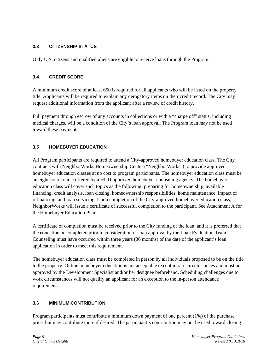## <span id="page-8-0"></span>**3.3 CITIZENSHIP STATUS**

Only U.S. citizens and qualified aliens are eligible to receive loans through the Program.

## <span id="page-8-1"></span>**3.4 CREDIT SCORE**

A minimum credit score of at least 650 is required for all applicants who will be listed on the property title. Applicants will be required to explain any derogatory items on their credit record. The City may request additional information from the applicant after a review of credit history.

Full payment through escrow of any accounts in collections or with a "charge off" status, including medical charges, will be a condition of the City's loan approval. The Program loan may not be used toward these payments.

## <span id="page-8-2"></span>**3.5 HOMEBUYER EDUCATION**

All Program participants are required to attend a City-approved homebuyer education class. The City contracts with NeighborWorks Homeownership Center ("NeighborWorks") to provide approved homebuyer education classes at no cost to program participants. The homebuyer education class must be an eight-hour course offered by a HUD-approved homebuyer counseling agency. The homebuyer education class will cover such topics as the following: preparing for homeownership, available financing, credit analysis, loan closing, homeownership responsibilities, home maintenance, impact of refinancing, and loan servicing. Upon completion of the City-approved homebuyer education class, NeighborWorks will issue a certificate of successful completion to the participant. See Attachment A for the Homebuyer Education Plan.

A certificate of completion must be received prior to the City funding of the loan, and it is preferred that the education be completed prior to consideration of loan approval by the Loan Evaluation Team. Counseling must have occurred within three years (36 months) of the date of the applicant's loan application in order to meet this requirement.

The homebuyer education class must be completed in person by all individuals proposed to be on the title to the property. Online homebuyer education is not acceptable except in rare circumstances and must be approved by the Development Specialist and/or her designee beforehand. Scheduling challenges due to work circumstances will not qualify an applicant for an exception to the in-person attendance requirement.

## <span id="page-8-3"></span>**3.6 MINIMUM CONTRIBUTION**

Program participants must contribute a minimum down payment of one percent (1%) of the purchase price, but may contribute more if desired. The participant's contribution may not be used toward closing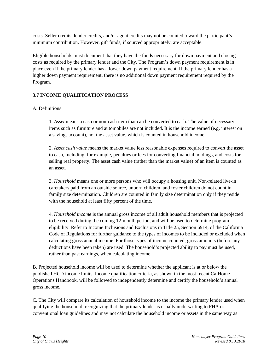costs. Seller credits, lender credits, and/or agent credits may not be counted toward the participant's minimum contribution. However, gift funds, if sourced appropriately, are acceptable.

Eligible households must document that they have the funds necessary for down payment and closing costs as required by the primary lender and the City. The Program's down payment requirement is in place even if the primary lender has a lower down payment requirement. If the primary lender has a higher down payment requirement, there is no additional down payment requirement required by the Program.

## **3.7 INCOME QUALIFICATION PROCESS**

## A. Definitions

1. *Asset* means a cash or non-cash item that can be converted to cash. The value of necessary items such as furniture and automobiles are not included. It is the income earned (e.g. interest on a savings account), not the asset value, which is counted in household income.

2. *Asset cash value* means the market value less reasonable expenses required to convert the asset to cash, including, for example, penalties or fees for converting financial holdings, and costs for selling real property. The asset cash value (rather than the market value) of an item is counted as an asset.

3. *Household* means one or more persons who will occupy a housing unit. Non-related live-in caretakers paid from an outside source, unborn children, and foster children do not count in family size determination. Children are counted in family size determination only if they reside with the household at least fifty percent of the time.

4. *Household income* is the annual gross income of all adult household members that is projected to be received during the coming 12-month period, and will be used to determine program eligibility. Refer to Income Inclusions and Exclusions in Title 25, Section 6914, of the California Code of Regulations for further guidance to the types of incomes to be included or excluded when calculating gross annual income. For those types of income counted, gross amounts (before any deductions have been taken) are used. The household's projected ability to pay must be used, rather than past earnings, when calculating income.

B. Projected household income will be used to determine whether the applicant is at or below the published HCD income limits. Income qualification criteria, as shown in the most recent CalHome Operations Handbook, will be followed to independently determine and certify the household's annual gross income.

C. The City will compare its calculation of household income to the income the primary lender used when qualifying the household, recognizing that the primary lender is usually underwriting to FHA or conventional loan guidelines and may not calculate the household income or assets in the same way as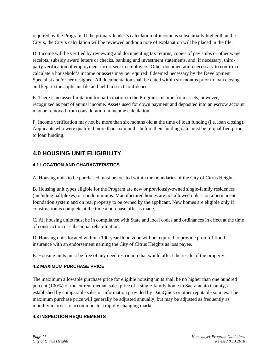required by the Program. If the primary lender's calculation of income is substantially higher than the City's, the City's calculation will be reviewed and/or a note of explanation will be placed in the file.

D. Income will be verified by reviewing and documenting tax returns, copies of pay stubs or other wage receipts, subsidy award letters or checks, banking and investment statements, and, if necessary, thirdparty verification of employment forms sent to employers. Other documentation necessary to confirm or calculate a household's income or assets may be required if deemed necessary by the Development Specialist and/or her designee. All documentation shall be dated within six months prior to loan closing and kept in the applicant file and held in strict confidence.

E. There is no asset limitation for participation in the Program. Income from assets, however, is recognized as part of annual income. Assets used for down payment and deposited into an escrow account may be removed from consideration in income calculation.

F. Income verification may not be more than six months old at the time of loan funding (i.e. loan closing). Applicants who were qualified more than six months before their funding date must be re-qualified prior to loan funding.

## <span id="page-10-0"></span>**4.0 HOUSING UNIT ELIGIBILITY**

## <span id="page-10-1"></span>**4.1 LOCATION AND CHARACTERISTICS**

A. Housing units to be purchased must be located within the boundaries of the City of Citrus Heights.

B. Housing unit types eligible for the Program are new or previously-owned single-family residences (including halfplexes) or condominiums. Manufactured homes are not allowed unless on a permanent foundation system and on real property to be owned by the applicant. New homes are eligible only if construction is complete at the time a purchase offer is made.

C. All housing units must be in compliance with State and local codes and ordinances in effect at the time of construction or substantial rehabilitation.

D. Housing units located within a 100-year flood zone will be required to provide proof of flood insurance with an endorsement naming the City of Citrus Heights as loss payee.

E. Housing units must be free of any deed restriction that would affect the resale of the property.

## <span id="page-10-2"></span>**4.2 MAXIMUM PURCHASE PRICE**

The maximum allowable purchase price for eligible housing units shall be no higher than one hundred percent (100%) of the current median sales price of a single-family home in Sacramento County, as established by comparable sales or information provided by DataQuick or other reputable sources. The maximum purchase price will generally be adjusted annually, but may be adjusted as frequently as monthly in order to accommodate a rapidly changing market.

## <span id="page-10-3"></span>**4.3 INSPECTION REQUIREMENTS**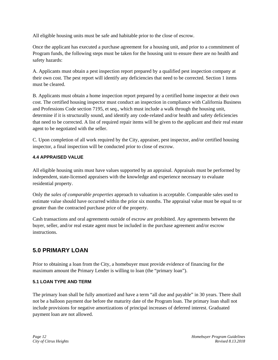All eligible housing units must be safe and habitable prior to the close of escrow.

Once the applicant has executed a purchase agreement for a housing unit, and prior to a commitment of Program funds, the following steps must be taken for the housing unit to ensure there are no health and safety hazards:

A. Applicants must obtain a pest inspection report prepared by a qualified pest inspection company at their own cost. The pest report will identify any deficiencies that need to be corrected. Section 1 items must be cleared.

B. Applicants must obtain a home inspection report prepared by a certified home inspector at their own cost. The certified housing inspector must conduct an inspection in compliance with California Business and Professions Code section 7195, et seq., which must include a walk through the housing unit, determine if it is structurally sound, and identify any code-related and/or health and safety deficiencies that need to be corrected. A list of required repair items will be given to the applicant and their real estate agent to be negotiated with the seller.

C. Upon completion of all work required by the City, appraiser, pest inspector, and/or certified housing inspector, a final inspection will be conducted prior to close of escrow.

## <span id="page-11-0"></span>**4.4 APPRAISED VALUE**

All eligible housing units must have values supported by an appraisal. Appraisals must be performed by independent, state-licensed appraisers with the knowledge and experience necessary to evaluate residential property.

Only the *sales of comparable properties* approach to valuation is acceptable. Comparable sales used to estimate value should have occurred within the prior six months. The appraisal value must be equal to or greater than the contracted purchase price of the property.

Cash transactions and oral agreements outside of escrow are prohibited. Any agreements between the buyer, seller, and/or real estate agent must be included in the purchase agreement and/or escrow instructions.

## <span id="page-11-1"></span>**5.0 PRIMARY LOAN**

Prior to obtaining a loan from the City, a homebuyer must provide evidence of financing for the maximum amount the Primary Lender is willing to loan (the "primary loan").

## <span id="page-11-2"></span>**5.1 LOAN TYPE AND TERM**

The primary loan shall be fully amortized and have a term "all due and payable" in 30 years. There shall not be a balloon payment due before the maturity date of the Program loan. The primary loan shall not include provisions for negative amortizations of principal increases of deferred interest. Graduated payment loan are not allowed.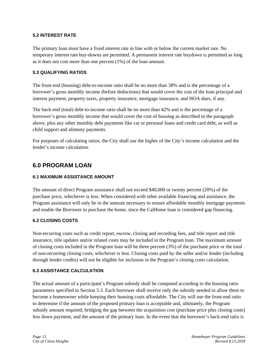## <span id="page-12-0"></span>**5.2 INTEREST RATE**

The primary loan must have a fixed interest rate in line with or below the current market rate. No temporary interest rate buy-downs are permitted. A permanent interest rate buydown is permitted as long as it does not cost more than one percent (1%) of the loan amount.

#### <span id="page-12-1"></span>**5.3 QUALIFYING RATIOS**

The front-end (housing) debt-to-income ratio shall be no more than 38% and is the percentage of a borrower's gross monthly income (before deductions) that would cover the cost of the loan principal and interest payment, property taxes, property insurance, mortgage insurance, and HOA dues, if any.

The back-end (total) debt-to-income ratio shall be no more than 42% and is the percentage of a borrower's gross monthly income that would cover the cost of housing as described in the paragraph above, plus any other monthly debt payments like car or personal loans and credit card debt, as well as child support and alimony payments.

For purposes of calculating ratios, the City shall use the higher of the City's income calculation and the lender's income calculation.

## <span id="page-12-2"></span>**6.0 PROGRAM LOAN**

#### <span id="page-12-3"></span>**6.1 MAXIMUM ASSISTANCE AMOUNT**

The amount of direct Program assistance shall not exceed \$40,000 or twenty percent (20%) of the purchase price, whichever is less. When considered with other available financing and assistance, the Program assistance will only be in the amount necessary to ensure affordable monthly mortgage payments and enable the Borrower to purchase the home, since the CalHome loan is considered gap financing.

## <span id="page-12-4"></span>**6.2 CLOSING COSTS**

Non-recurring costs such as credit report, escrow, closing and recording fees, and title report and title insurance, title updates and/or related costs may be included in the Program loan. The maximum amount of closing costs included in the Program loan will be three percent (3%) of the purchase price or the total of non-recurring closing costs, whichever is less. Closing costs paid by the seller and/or lender (including through lender credits) will not be eligible for inclusion in the Program's closing costs calculation.

#### <span id="page-12-5"></span>**6.3 ASSISTANCE CALCULATION**

The actual amount of a participant's Program subsidy shall be computed according to the housing ratio parameters specified in Section 5.3. Each borrower shall receive only the subsidy needed to allow them to become a homeowner while keeping their housing costs affordable. The City will use the front-end ratio to determine if the amount of the proposed primary loan is acceptable and, ultimately, the Program subsidy amount required, bridging the gap between the acquisition cost (purchase price plus closing costs) less down payment, and the amount of the primary loan. In the event that the borrower's back-end ratio is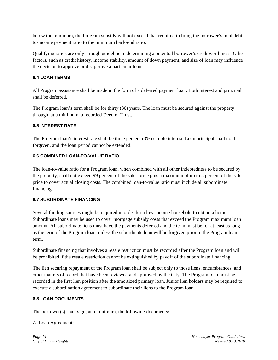below the minimum, the Program subsidy will not exceed that required to bring the borrower's total debtto-income payment ratio to the minimum back-end ratio.

Qualifying ratios are only a rough guideline in determining a potential borrower's creditworthiness. Other factors, such as credit history, income stability, amount of down payment, and size of loan may influence the decision to approve or disapprove a particular loan.

#### <span id="page-13-0"></span>**6.4 LOAN TERMS**

All Program assistance shall be made in the form of a deferred payment loan. Both interest and principal shall be deferred.

The Program loan's term shall be for thirty (30) years. The loan must be secured against the property through, at a minimum, a recorded Deed of Trust.

#### <span id="page-13-1"></span>**6.5 INTEREST RATE**

The Program loan's interest rate shall be three percent (3%) simple interest. Loan principal shall not be forgiven, and the loan period cannot be extended.

## <span id="page-13-2"></span>**6.6 COMBINED LOAN-TO-VALUE RATIO**

The loan-to-value ratio for a Program loan, when combined with all other indebtedness to be secured by the property, shall not exceed 99 percent of the sales price plus a maximum of up to 5 percent of the sales price to cover actual closing costs. The combined loan-to-value ratio must include all subordinate financing.

#### <span id="page-13-3"></span>**6.7 SUBORDINATE FINANCING**

Several funding sources might be required in order for a low-income household to obtain a home. Subordinate loans may be used to cover mortgage subsidy costs that exceed the Program maximum loan amount. All subordinate liens must have the payments deferred and the term must be for at least as long as the term of the Program loan, unless the subordinate loan will be forgiven prior to the Program loan term.

Subordinate financing that involves a resale restriction must be recorded after the Program loan and will be prohibited if the resale restriction cannot be extinguished by payoff of the subordinate financing.

The lien securing repayment of the Program loan shall be subject only to those liens, encumbrances, and other matters of record that have been reviewed and approved by the City. The Program loan must be recorded in the first lien position after the amortized primary loan. Junior lien holders may be required to execute a subordination agreement to subordinate their liens to the Program loan.

#### <span id="page-13-4"></span>**6.8 LOAN DOCUMENTS**

The borrower(s) shall sign, at a minimum, the following documents:

A. Loan Agreement;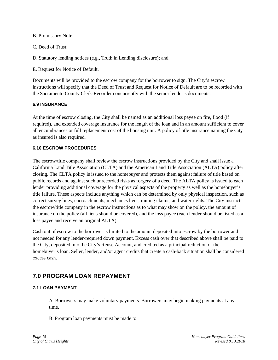B. Promissory Note;

C. Deed of Trust;

D. Statutory lending notices (e.g., Truth in Lending disclosure); and

E. Request for Notice of Default.

Documents will be provided to the escrow company for the borrower to sign. The City's escrow instructions will specify that the Deed of Trust and Request for Notice of Default are to be recorded with the Sacramento County Clerk-Recorder concurrently with the senior lender's documents.

#### <span id="page-14-0"></span>**6.9 INSURANCE**

At the time of escrow closing, the City shall be named as an additional loss payee on fire, flood (if required), and extended coverage insurance for the length of the loan and in an amount sufficient to cover all encumbrances or full replacement cost of the housing unit. A policy of title insurance naming the City as insured is also required.

#### <span id="page-14-1"></span>**6.10 ESCROW PROCEDURES**

The escrow/title company shall review the escrow instructions provided by the City and shall issue a California Land Title Association (CLTA) and the American Land Title Association (ALTA) policy after closing. The CLTA policy is issued to the homebuyer and protects them against failure of title based on public records and against such unrecorded risks as forgery of a deed. The ALTA policy is issued to each lender providing additional coverage for the physical aspects of the property as well as the homebuyer's title failure. These aspects include anything which can be determined by only physical inspection, such as correct survey lines, encroachments, mechanics liens, mining claims, and water rights. The City instructs the escrow/title company in the escrow instructions as to what may show on the policy, the amount of insurance on the policy (all liens should be covered), and the loss payee (each lender should be listed as a loss payee and receive an original ALTA).

Cash out of escrow to the borrower is limited to the amount deposited into escrow by the borrower and not needed for any lender-required down payment. Excess cash over that described above shall be paid to the City, deposited into the City's Reuse Account, and credited as a principal reduction of the homebuyer's loan. Seller, lender, and/or agent credits that create a cash-back situation shall be considered excess cash.

## <span id="page-14-2"></span>**7.0 PROGRAM LOAN REPAYMENT**

## <span id="page-14-3"></span>**7.1 LOAN PAYMENT**

A. Borrowers may make voluntary payments. Borrowers may begin making payments at any time.

B. Program loan payments must be made to: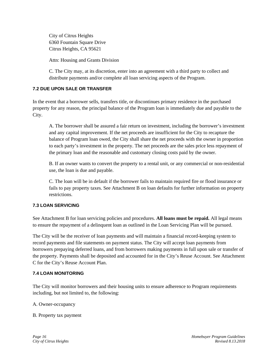City of Citrus Heights 6360 Fountain Square Drive Citrus Heights, CA 95621

Attn: Housing and Grants Division

C. The City may, at its discretion, enter into an agreement with a third party to collect and distribute payments and/or complete all loan servicing aspects of the Program.

## <span id="page-15-0"></span>**7.2 DUE UPON SALE OR TRANSFER**

In the event that a borrower sells, transfers title, or discontinues primary residence in the purchased property for any reason, the principal balance of the Program loan is immediately due and payable to the City.

A. The borrower shall be assured a fair return on investment, including the borrower's investment and any capital improvement. If the net proceeds are insufficient for the City to recapture the balance of Program loan owed, the City shall share the net proceeds with the owner in proportion to each party's investment in the property. The net proceeds are the sales price less repayment of the primary loan and the reasonable and customary closing costs paid by the owner.

B. If an owner wants to convert the property to a rental unit, or any commercial or non-residential use, the loan is due and payable.

C. The loan will be in default if the borrower fails to maintain required fire or flood insurance or fails to pay property taxes. See Attachment B on loan defaults for further information on property restrictions.

## <span id="page-15-1"></span>**7.3 LOAN SERVICING**

See Attachment B for loan servicing policies and procedures. **All loans must be repaid.** All legal means to ensure the repayment of a delinquent loan as outlined in the Loan Servicing Plan will be pursued.

The City will be the receiver of loan payments and will maintain a financial record-keeping system to record payments and file statements on payment status. The City will accept loan payments from borrowers prepaying deferred loans, and from borrowers making payments in full upon sale or transfer of the property. Payments shall be deposited and accounted for in the City's Reuse Account. See Attachment C for the City's Reuse Account Plan.

## <span id="page-15-2"></span>**7.4 LOAN MONITORING**

The City will monitor borrowers and their housing units to ensure adherence to Program requirements including, but not limited to, the following:

A. Owner-occupancy

B. Property tax payment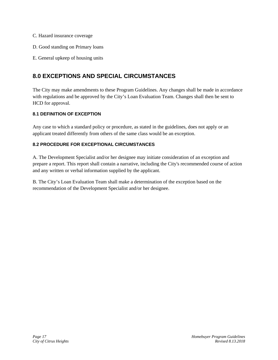- C. Hazard insurance coverage
- D. Good standing on Primary loans
- E. General upkeep of housing units

## <span id="page-16-0"></span>**8.0 EXCEPTIONS AND SPECIAL CIRCUMSTANCES**

The City may make amendments to these Program Guidelines. Any changes shall be made in accordance with regulations and be approved by the City's Loan Evaluation Team. Changes shall then be sent to HCD for approval.

## <span id="page-16-1"></span>**8.1 DEFINITION OF EXCEPTION**

Any case to which a standard policy or procedure, as stated in the guidelines, does not apply or an applicant treated differently from others of the same class would be an exception.

## <span id="page-16-2"></span>**8.2 PROCEDURE FOR EXCEPTIONAL CIRCUMSTANCES**

A. The Development Specialist and/or her designee may initiate consideration of an exception and prepare a report. This report shall contain a narrative, including the City's recommended course of action and any written or verbal information supplied by the applicant.

B. The City's Loan Evaluation Team shall make a determination of the exception based on the recommendation of the Development Specialist and/or her designee.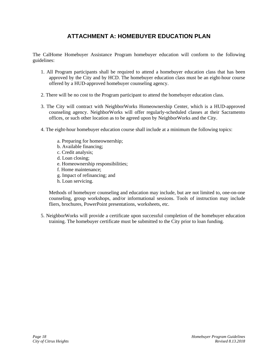## **ATTACHMENT A: HOMEBUYER EDUCATION PLAN**

<span id="page-17-0"></span>The CalHome Homebuyer Assistance Program homebuyer education will conform to the following guidelines:

- 1. All Program participants shall be required to attend a homebuyer education class that has been approved by the City and by HCD. The homebuyer education class must be an eight-hour course offered by a HUD-approved homebuyer counseling agency.
- 2. There will be no cost to the Program participant to attend the homebuyer education class.
- 3. The City will contract with NeighborWorks Homeownership Center, which is a HUD-approved counseling agency. NeighborWorks will offer regularly-scheduled classes at their Sacramento offices, or such other location as to be agreed upon by NeighborWorks and the City.
- 4. The eight-hour homebuyer education course shall include at a minimum the following topics:
	- a. Preparing for homeownership;
	- b. Available financing;
	- c. Credit analysis;
	- d. Loan closing;
	- e. Homeownership responsibilities;
	- f. Home maintenance;
	- g. Impact of refinancing; and
	- h. Loan servicing.

Methods of homebuyer counseling and education may include, but are not limited to, one-on-one counseling, group workshops, and/or informational sessions. Tools of instruction may include fliers, brochures, PowerPoint presentations, worksheets, etc.

5. NeighborWorks will provide a certificate upon successful completion of the homebuyer education training. The homebuyer certificate must be submitted to the City prior to loan funding.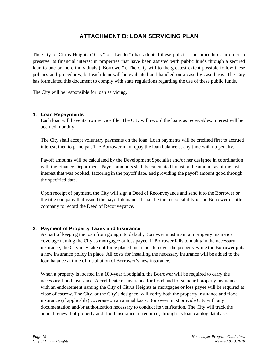## **ATTACHMENT B: LOAN SERVICING PLAN**

<span id="page-18-0"></span>The City of Citrus Heights ("City" or "Lender") has adopted these policies and procedures in order to preserve its financial interest in properties that have been assisted with public funds through a secured loan to one or more individuals ("Borrower"). The City will to the greatest extent possible follow these policies and procedures, but each loan will be evaluated and handled on a case-by-case basis. The City has formulated this document to comply with state regulations regarding the use of these public funds.

The City will be responsible for loan servicing.

#### **1. Loan Repayments**

Each loan will have its own service file. The City will record the loans as receivables. Interest will be accrued monthly.

The City shall accept voluntary payments on the loan. Loan payments will be credited first to accrued interest, then to principal. The Borrower may repay the loan balance at any time with no penalty.

Payoff amounts will be calculated by the Development Specialist and/or her designee in coordination with the Finance Department. Payoff amounts shall be calculated by using the amount as of the last interest that was booked, factoring in the payoff date, and providing the payoff amount good through the specified date.

Upon receipt of payment, the City will sign a Deed of Reconveyance and send it to the Borrower or the title company that issued the payoff demand. It shall be the responsibility of the Borrower or title company to record the Deed of Reconveyance.

## **2. Payment of Property Taxes and Insurance**

As part of keeping the loan from going into default, Borrower must maintain property insurance coverage naming the City as mortgagee or loss payee. If Borrower fails to maintain the necessary insurance, the City may take out force placed insurance to cover the property while the Borrower puts a new insurance policy in place. All costs for installing the necessary insurance will be added to the loan balance at time of installation of Borrower's new insurance.

When a property is located in a 100-year floodplain, the Borrower will be required to carry the necessary flood insurance. A certificate of insurance for flood and for standard property insurance with an endorsement naming the City of Citrus Heights as mortgagee or loss payee will be required at close of escrow. The City, or the City's designee, will verify both the property insurance and flood insurance (if applicable) coverage on an annual basis. Borrower must provide City with any documentation and/or authorization necessary to conduct its verification. The City will track the annual renewal of property and flood insurance, if required, through its loan catalog database.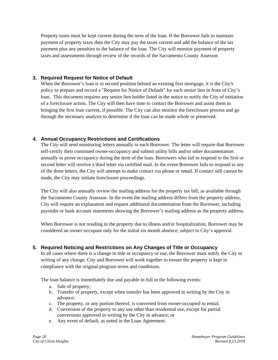Property taxes must be kept current during the term of the loan. If the Borrower fails to maintain payment of property taxes then the City may pay the taxes current and add the balance of the tax payment plus any penalties to the balance of the loan. The City will monitor payment of property taxes and assessments through review of the records of the Sacramento County Assessor.

## **3. Required Request for Notice of Default**

When the Borrower's loan is in second position behind an existing first mortgage, it is the City's policy to prepare and record a "Request for Notice of Default" for each senior lien in front of City's loan. This document requires any senior lien holder listed in the notice to notify the City of initiation of a foreclosure action. The City will then have time to contact the Borrower and assist them in bringing the first loan current, if possible. The City can also monitor the foreclosure process and go through the necessary analysis to determine if the loan can be made whole or preserved.

## **4. Annual Occupancy Restrictions and Certifications**

The City will send monitoring letters annually to each Borrower. The letter will require that Borrower self-certify their continued owner-occupancy and submit utility bills and/or other documentation annually to prove occupancy during the term of the loan. Borrowers who fail to respond to the first or second letter will receive a third letter via certified mail. In the event Borrower fails to respond to any of the three letters, the City will attempt to make contact via phone or email. If contact still cannot be made, the City may initiate foreclosure proceedings.

The City will also annually review the mailing address for the property tax bill, as available through the Sacramento County Assessor. In the event the mailing address differs from the property address, City will require an explanation and request additional documentation from the Borrower, including paystubs or bank account statements showing the Borrower's mailing address as the property address.

When Borrower is not residing in the property due to illness and/or hospitalization, Borrower may be considered an owner-occupant only for the initial six month absence, subject to City's approval.

## **5. Required Noticing and Restrictions on Any Changes of Title or Occupancy**

In all cases where there is a change in title or occupancy or use, the Borrower must notify the City in writing of any change. City and Borrower will work together to ensure the property is kept in compliance with the original program terms and conditions.

The loan balance is immediately due and payable in full in the following events:

- a. Sale of property;
- b. Transfer of property, except when transfer has been approved in writing by the City in advance;
- c. The property, or any portion thereof, is converted from owner-occupied to rental;
- d. Conversion of the property to any use other than residential use, except for partial conversions approved in writing by the City in advance; or
- e. Any event of default, as noted in the Loan Agreement.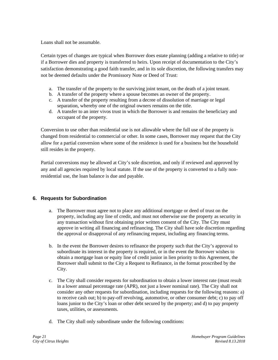Loans shall not be assumable.

Certain types of changes are typical when Borrower does estate planning (adding a relative to title) or if a Borrower dies and property is transferred to heirs. Upon receipt of documentation to the City's satisfaction demonstrating a good faith transfer, and in its sole discretion, the following transfers may not be deemed defaults under the Promissory Note or Deed of Trust:

- a. The transfer of the property to the surviving joint tenant, on the death of a joint tenant.
- b. A transfer of the property where a spouse becomes an owner of the property.
- c. A transfer of the property resulting from a decree of dissolution of marriage or legal separation, whereby one of the original owners remains on the title.
- d. A transfer to an inter vivos trust in which the Borrower is and remains the beneficiary and occupant of the property.

Conversion to use other than residential use is not allowable where the full use of the property is changed from residential to commercial or other. In some cases, Borrower may request that the City allow for a partial conversion where some of the residence is used for a business but the household still resides in the property.

Partial conversions may be allowed at City's sole discretion, and only if reviewed and approved by any and all agencies required by local statute. If the use of the property is converted to a fully nonresidential use, the loan balance is due and payable.

## **6. Requests for Subordination**

- a. The Borrower must agree not to place any additional mortgage or deed of trust on the property, including any line of credit, and must not otherwise use the property as security in any transaction without first obtaining prior written consent of the City. The City must approve in writing all financing and refinancing. The City shall have sole discretion regarding the approval or disapproval of any refinancing request, including any financing terms.
- b. In the event the Borrower desires to refinance the property such that the City's approval to subordinate its interest in the property is required, or in the event the Borrower wishes to obtain a mortgage loan or equity line of credit junior in lien priority to this Agreement, the Borrower shall submit to the City a Request to Refinance, in the format proscribed by the City.
- c. The City shall consider requests for subordination to obtain a lower interest rate (must result in a lower annual percentage rate (APR), not just a lower nominal rate). The City shall not consider any other requests for subordination, including requests for the following reasons: a) to receive cash out; b) to pay-off revolving, automotive, or other consumer debt; c) to pay off loans junior to the City's loan or other debt secured by the property; and d) to pay property taxes, utilities, or assessments.
- d. The City shall only subordinate under the following conditions: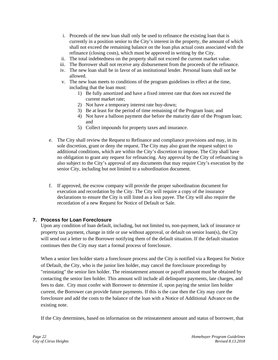- i. Proceeds of the new loan shall only be used to refinance the existing loan that is currently in a position senior to the City's interest in the property, the amount of which shall not exceed the remaining balance on the loan plus actual costs associated with the refinance (closing costs), which must be approved in writing by the City.
- ii. The total indebtedness on the property shall not exceed the current market value.
- iii. The Borrower shall not receive any disbursement from the proceeds of the refinance.
- iv. The new loan shall be in favor of an institutional lender. Personal loans shall not be allowed.
- v. The new loan meets to conditions of the program guidelines in effect at the time, including that the loan must:
	- 1) Be fully amortized and have a fixed interest rate that does not exceed the current market rate;
	- 2) Not have a temporary interest rate buy-down;
	- 3) Be at least for the period of time remaining of the Program loan; and
	- 4) Not have a balloon payment due before the maturity date of the Program loan; and
	- 5) Collect impounds for property taxes and insurance.
- e. The City shall review the Request to Refinance and compliance provisions and may, in its sole discretion, grant or deny the request. The City may also grant the request subject to additional conditions, which are within the City's discretion to impose. The City shall have no obligation to grant any request for refinancing. Any approval by the City of refinancing is also subject to the City's approval of any documents that may require City's execution by the senior City, including but not limited to a subordination document.
- f. If approved, the escrow company will provide the proper subordination document for execution and recordation by the City. The City will require a copy of the insurance declarations to ensure the City is still listed as a loss payee. The City will also require the recordation of a new Request for Notice of Default or Sale.

## **7. Process for Loan Foreclosure**

Upon any condition of loan default, including, but not limited to, non-payment, lack of insurance or property tax payment, change in title or use without approval, or default on senior loan(s), the City will send out a letter to the Borrower notifying them of the default situation. If the default situation continues then the City may start a formal process of foreclosure.

When a senior lien holder starts a foreclosure process and the City is notified via a Request for Notice of Default, the City, who is the junior lien holder, may cancel the foreclosure proceedings by "reinstating" the senior lien holder. The reinstatement amount or payoff amount must be obtained by contacting the senior lien holder. This amount will include all delinquent payments, late charges, and fees to date. City must confer with Borrower to determine if, upon paying the senior lien holder current, the Borrower can provide future payments. If this is the case then the City may cure the foreclosure and add the costs to the balance of the loan with a Notice of Additional Advance on the existing note.

If the City determines, based on information on the reinstatement amount and status of borrower, that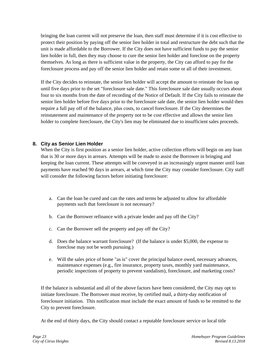bringing the loan current will not preserve the loan, then staff must determine if it is cost effective to protect their position by paying off the senior lien holder in total and restructure the debt such that the unit is made affordable to the Borrower. If the City does not have sufficient funds to pay the senior lien holder in full, then they may choose to cure the senior lien holder and foreclose on the property themselves. As long as there is sufficient value in the property, the City can afford to pay for the foreclosure process and pay off the senior lien holder and retain some or all of their investment.

If the City decides to reinstate, the senior lien holder will accept the amount to reinstate the loan up until five days prior to the set "foreclosure sale date." This foreclosure sale date usually occurs about four to six months from the date of recording of the Notice of Default. If the City fails to reinstate the senior lien holder before five days prior to the foreclosure sale date, the senior lien holder would then require a full pay off of the balance, plus costs, to cancel foreclosure. If the City determines the reinstatement and maintenance of the property not to be cost effective and allows the senior lien holder to complete foreclosure, the City's lien may be eliminated due to insufficient sales proceeds.

## **8. City as Senior Lien Holder**

When the City is first position as a senior lien holder, active collection efforts will begin on any loan that is 30 or more days in arrears. Attempts will be made to assist the Borrower in bringing and keeping the loan current. These attempts will be conveyed in an increasingly urgent manner until loan payments have reached 90 days in arrears, at which time the City may consider foreclosure. City staff will consider the following factors before initiating foreclosure:

- a. Can the loan be cured and can the rates and terms be adjusted to allow for affordable payments such that foreclosure is not necessary?
- b. Can the Borrower refinance with a private lender and pay off the City?
- c. Can the Borrower sell the property and pay off the City?
- d. Does the balance warrant foreclosure? (If the balance is under \$5,000, the expense to foreclose may not be worth pursuing.)
- e. Will the sales price of home "as is" cover the principal balance owed, necessary advances, maintenance expenses (e.g., fire insurance, property taxes, monthly yard maintenance, periodic inspections of property to prevent vandalism), foreclosure, and marketing costs?

If the balance is substantial and all of the above factors have been considered, the City may opt to initiate foreclosure. The Borrower must receive, by certified mail, a thirty-day notification of foreclosure initiation. This notification must include the exact amount of funds to be remitted to the City to prevent foreclosure.

At the end of thirty days, the City should contact a reputable foreclosure service or local title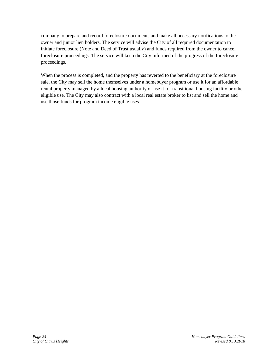company to prepare and record foreclosure documents and make all necessary notifications to the owner and junior lien holders. The service will advise the City of all required documentation to initiate foreclosure (Note and Deed of Trust usually) and funds required from the owner to cancel foreclosure proceedings. The service will keep the City informed of the progress of the foreclosure proceedings.

When the process is completed, and the property has reverted to the beneficiary at the foreclosure sale, the City may sell the home themselves under a homebuyer program or use it for an affordable rental property managed by a local housing authority or use it for transitional housing facility or other eligible use. The City may also contract with a local real estate broker to list and sell the home and use those funds for program income eligible uses.